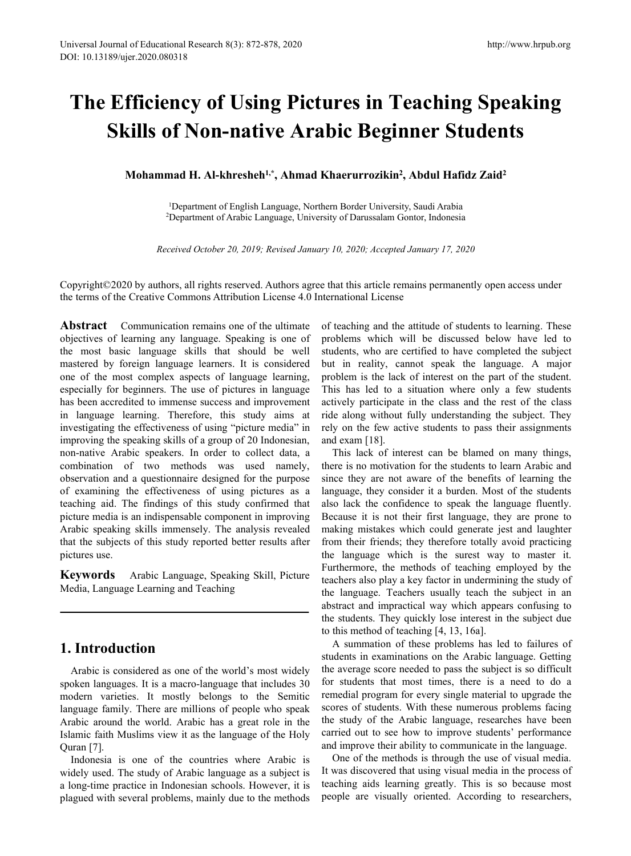# **The Efficiency of Using Pictures in Teaching Speaking Skills of Non-native Arabic Beginner Students** I of Educational Research 8(3): 872-878, 2020<br>
pier.2020.080318<br> **Mohammad H. Al-khresheh<sup>1,\*</sup>, Ahmad Khaerurrozikin<sup>2</sup>, Abdul Hafidz Zaid<br>
Mohammad H. Al-khresheh<sup>1,\*</sup>, Ahmad Khaerurrozikin<sup>2</sup>, Abdul Hafidz Zaid<br>
<sup>1</sup>Depar** http://www.hrpub.org<br> **eaching Speaking<br>
nner Students<br>
, Abdul Hafidz Zaid<sup>2</sup><br>
ty, Saudi Arabia<br>
iontor, Indonesia ncy of Using Pictures in Teaching Speaking**<br>**10Department of English Language, Northern Border University, Saudi Arabia**<br><sup>1</sup>Department of English Language, Northern Border University, Saudi Arabia<br>Department of Arabic Lan **2012 Pictures in Teaching Speakin**<br>2Depa**rtment of English Language, Northern Border University, Saudi Arabia<br><sup>1</sup>Department of English Language, Northern Border University, Saudi Arabia<br><sup>1</sup>Department of English Language, CHCT OF NON-native Arabic Beginner Students**<br> **Received October 20, 2019; Revised January 10, 2020; Accepted January 17, 2020**<br> **Received October 20, 2019; Revised January 10, 2020; Accepted January 17, 2020**<br> **Received O**

Copyright©2020 by authors, all rights reserved. Authors agree that this article remains permanently open access under the terms of the Creative Commons Attribution License 4.0 International License

**Abstract** Communication remains one of the ultimate objectives of learning any language. Speaking is one of the most basic language skills that should be well mastered by foreign language learners. It is considered one of the most complex aspects of language learning, especially for beginners. The use of pictures in language has been accredited to immense success and improvement in language learning. Therefore, this study aims at investigating the effectiveness of using "picture media" in improving the speaking skills of a group of 20 Indonesian, non-native Arabic speakers. In order to collect data, a combination of two methods was used namely, observation and a questionnaire designed for the purpose of examining the effectiveness of using pictures as a teaching aid. The findings of this study confirmed that picture media is an indispensable component in improving Arabic speaking skills immensely. The analysis revealed that the subjects of this study reported better results after pictures use.

Media, Language Learning and Teaching

# **1. Introduction**

Arabic is considered as one of the world's most widely spoken languages. It is a macro-language that includes 30 modern varieties. It mostly belongs to the Semitic language family. There are millions of people who speak Arabic around the world.Arabic has a great role in the Islamic faith Muslims view it as the language of the Holy Quran [7].

Indonesia is one of the countries where Arabic is widely used. The study of Arabic language as a subject is a long-time practice in Indonesian schools. However, it is plagued with several problems, mainly due to the methods of teaching and the attitude of students to learning. These problems which will be discussed below have led to students, who are certified to have completed the subject but in reality, cannot speak the language. A major problem is the lack of interest on the part of the student. This has led to a situation where only a few students actively participate in the class and the rest of the class ride along without fully understanding the subject. They rely on the few active students to pass their assignments and exam [18].

**Keywords** Arabic Language, Speaking Skill, Picture Furthermore, the methods of teaching employed by the **Keywords** Arabic Language, Speaking Skill, Picture Fundamery also play a key factor in undermining the study of This lack of interest can be blamed on many things, there is no motivation for the students to learn Arabic and since they are not aware of the benefits of learning the language, they consider it a burden. Most of the students also lack the confidence to speak the language fluently. Because it is not their first language, they are prone to making mistakes which could generate jest and laughter from their friends; they therefore totally avoid practicing the language which is the surest way to master it. teachers also play a key factor in undermining the study of the language. Teachers usually teach the subject in an abstract and impractical way which appears confusing to the students. They quickly lose interest in the subject due to this method of teaching [4, 13, 16a].

> A summation of these problems has led to failures of students in examinations on the Arabic language. Getting the average score needed to pass the subject is so difficult for students that most times, there is a need to do a remedial program for every single material to upgrade the scores of students. With these numerous problems facing the study of the Arabic language, researches have been carried out to see how to improve students' performance and improve their ability to communicate in the language.

> One of the methods is through the use of visual media. It was discovered that using visual media in the process of teaching aids learning greatly. This is so because most people are visually oriented. According to researchers,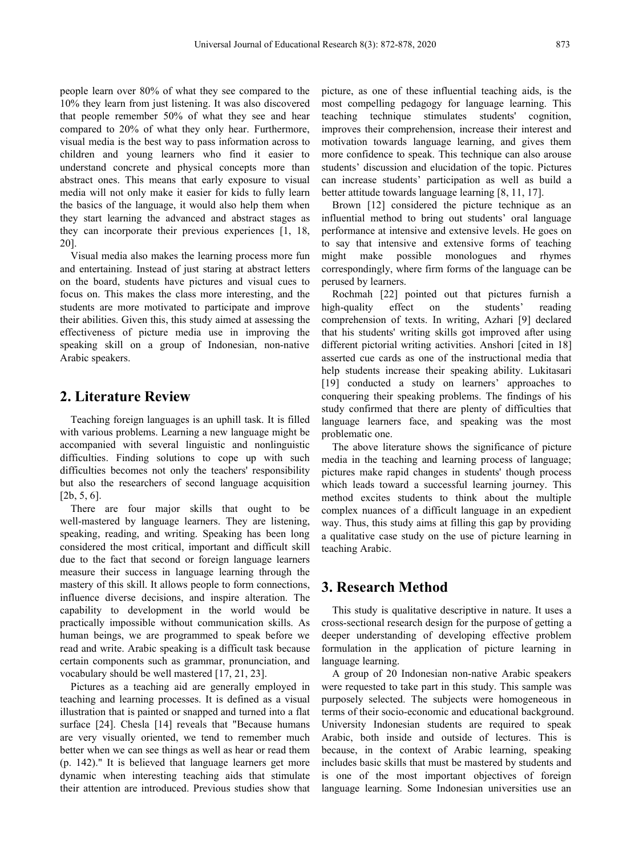people learn over 80% of what they see compared to the 10% they learn from just listening. It was also discovered that people remember 50% of what they see and hear compared to 20% of what they only hear. Furthermore, visual media is the best way to pass information across to children and young learners who find it easier to understand concrete and physical concepts more than abstract ones. This means that early exposure to visual media will not only make it easier for kids to fully learn better attitude towards language learning [8, 11, 17]. the basics of the language, it would also help them when they start learning the advanced and abstract stages as they can incorporate their previous experiences [1, 18, 20]. to say that intensive and<br>Visual media also makes the learning process more fun might make possible

and entertaining. Instead of just staring at abstract letters on the board, students have pictures and visual cues to focus on. This makes the class more interesting, and the students are more motivated to participate and improve high-quality effect their abilities. Given this, this study aimed at assessing the effectiveness of picture media use in improving the speaking skill on a group of Indonesian, non-native Arabic speakers.

#### **2. Literature Review**

Teaching foreign languages is an uphill task. It is filled with various problems. Learning a new language might be accompanied with several linguistic and nonlinguistic difficulties. Finding solutions to cope up with such difficulties becomes not only the teachers' responsibility but also the researchers of second language acquisition [2b, 5, 6].

There are four major skills that ought to be well-mastered by language learners. They are listening, speaking, reading, and writing. Speaking has been long considered the most critical, important and difficult skill due to the fact that second or foreign language learners measure their success in language learning through the mastery of this skill. It allows people to form connections, influence diverse decisions, and inspire alteration. The capability to development in the world would be practically impossible without communication skills. As human beings, we are programmed to speak before we read and write. Arabic speaking is a difficult task because certain components such as grammar, pronunciation, and vocabulary should be well mastered [17, 21, 23].

Pictures as a teaching aid are generally employed in teaching and learning processes. It is defined as a visual illustration that is painted or snapped and turned into a flat surface [24]. Chesla [14] reveals that "Because humans are very visually oriented, we tend to remember much better when we can see things as well as hear or read them (p. 142)." It is believed that language learners get more dynamic when interesting teaching aids that stimulate their attention are introduced. Previous studies show that picture, as one of these influential teaching aids, is the most compelling pedagogy for language learning. This technique stimulates students' cognition, improves their comprehension, increase their interest and motivation towards language learning, and gives them more confidence to speak. This technique can also arouse students' discussion and elucidation of the topic. Pictures can increase students' participation as well as build a

Brown [12] considered the picture technique as an influential method to bring out students' oral language performance at intensive and extensive levels. He goes on to say that intensive and extensive forms of teaching monologues and rhymes correspondingly, where firm forms of the language can be perused by learners.

Rochmah [22] pointed out that pictures furnish a high-quality effect on the students' reading comprehension of texts. In writing, Azhari [9] declared that his students' writing skills got improved after using different pictorial writing activities. Anshori [cited in 18] asserted cue cards as one of the instructional media that help students increase their speaking ability. Lukitasari [19] conducted a study on learners' approaches to conquering their speaking problems. The findings of his study confirmed that there are plenty of difficulties that language learners face, and speaking was the most problematic one.

The above literature shows the significance of picture media in the teaching and learning process of language; pictures make rapid changes in students' though process which leads toward a successful learning journey. This method excites students to think about the multiple complex nuances of a difficult language in an expedient way. Thus, this study aims at filling this gap by providing a qualitative case study on the use of picture learning in teaching Arabic.

### **3. Research Method**

This study is qualitative descriptive in nature. It uses a cross-sectional research design for the purpose of getting a deeper understanding of developing effective problem formulation in the application of picture learning in language learning.

A group of 20 Indonesian non-native Arabic speakers were requested to take part in this study. This sample was purposely selected. The subjects were homogeneous in terms of their socio-economic and educational background. University Indonesian students are required to speak Arabic, both inside and outside of lectures. This is because, in the context of Arabic learning, speaking includes basic skills that must be mastered by students and is one of the most important objectives of foreign language learning. Some Indonesian universities use an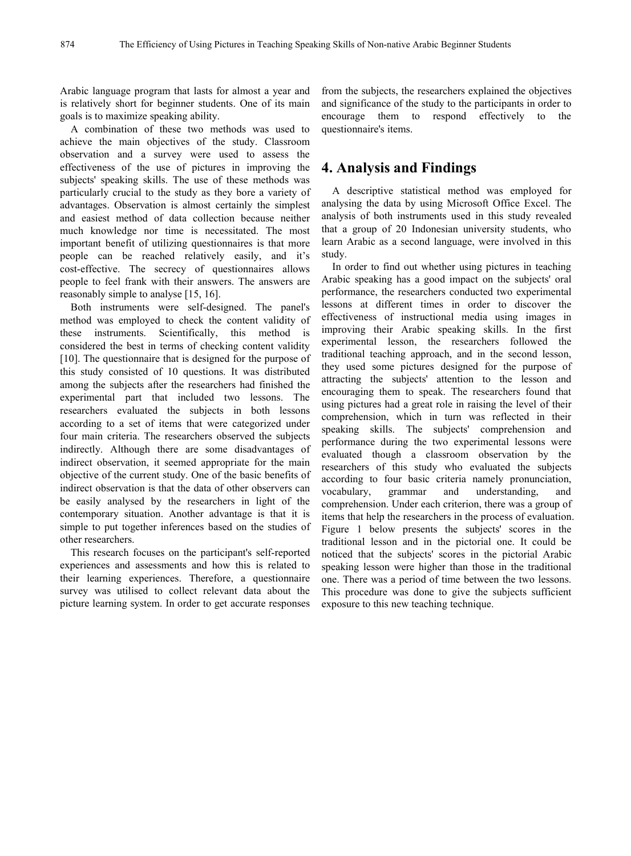Arabic language program that lasts for almost a year and is relatively short for beginner students. One of its main goals is to maximize speaking ability.

A combination of these two methods was used to achieve the main objectives of the study. Classroom observation and a survey were used to assess the effectiveness of the use of pictures in improving the subjects' speaking skills. The use of these methods was particularly crucial to the study as they bore a variety of advantages. Observation is almost certainly the simplest and easiest method of data collection because neither much knowledge nor time is necessitated. The most important benefit of utilizing questionnaires is that more people can be reached relatively easily, and it's cost-effective. The secrecy of questionnaires allows people to feel frank with their answers. The answers are reasonably simple to analyse [15, 16].<br>Both instruments were self-designed. The panel's

method was employed to check the content validity of these instruments. Scientifically, this method is considered the best in terms of checking content validity [10]. The questionnaire that is designed for the purpose of this study consisted of 10 questions. It was distributed among the subjects after the researchers had finished the experimental part that included two lessons. The researchers evaluated the subjects in both lessons according to a set of items that were categorized under four main criteria. The researchers observed the subjects indirectly. Although there are some disadvantages of indirect observation, it seemed appropriate for the main objective of the current study. One of the basic benefits of indirect observation is that the data of other observers can vocabulary, grammar be easily analysed by the researchers in light of the contemporary situation. Another advantage is that it is simple to put together inferences based on the studies of other researchers.

This research focuses on the participant's self-reported experiences and assessments and how this is related to their learning experiences. Therefore, a questionnaire survey was utilised to collect relevant data about the picture learning system. In order to get accurate responses from the subjects, the researchers explained the objectives and significance of the study to the participants in order to encourage them to respond effectively to the questionnaire's items.

## **4. Analysis and Findings**

A descriptive statistical method was employed for analysing the data by using Microsoft Office Excel. The analysis of both instruments used in this study revealed that a group of 20 Indonesian university students, who learn Arabic as a second language, were involved in this study.

In order to find out whether using pictures in teaching Arabic speaking has a good impact on the subjects' oral performance, the researchers conducted two experimental lessons at different times in order to discover the effectiveness of instructional media using images in improving their Arabic speaking skills. In the first experimental lesson, the researchers followed the traditional teaching approach, and in the second lesson, they used some pictures designed for the purpose of attracting the subjects' attention to the lesson and encouraging them to speak. The researchers found that using pictures had a great role in raising the level of their comprehension, which in turn was reflected in their speaking skills. The subjects' comprehension and performance during the two experimental lessons were evaluated though a classroom observation by the researchers of this study who evaluated the subjects according to four basic criteria namely pronunciation, and understanding, and comprehension. Under each criterion, there was a group of items that help the researchers in the process of evaluation. Figure 1 below presents the subjects' scores in the traditional lesson and in the pictorial one. It could be noticed that the subjects' scores in the pictorial Arabic speaking lesson were higher than those in the traditional one. There was a period of time between the two lessons. This procedure was done to give the subjects sufficient exposure to this new teaching technique.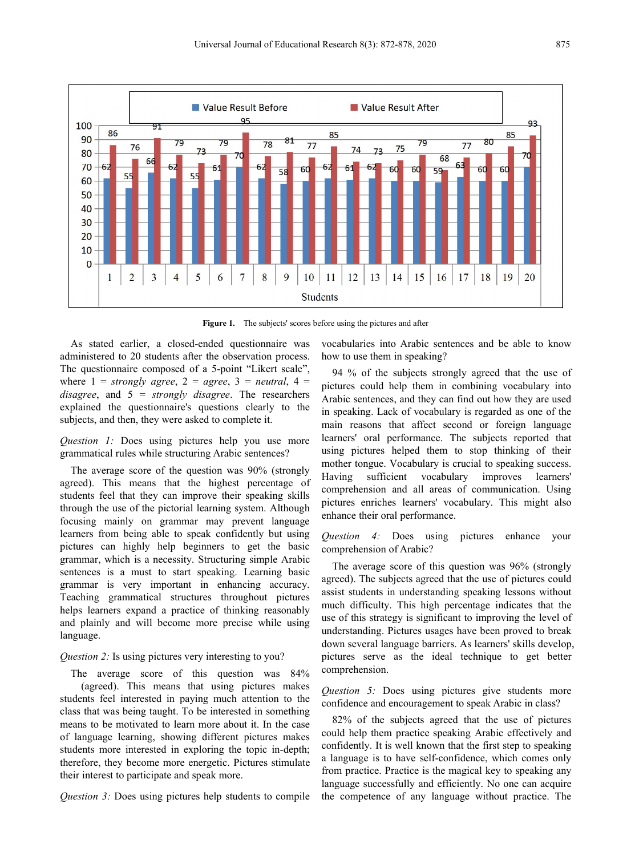

**Figure 1.** The subjects' scores before using the pictures and after

As stated earlier, a closed-ended questionnaire was administered to 20 students after the observation process. The questionnaire composed of a 5-point "Likert scale", where  $1 =$  *strongly agree*,  $2 =$  *agree*,  $3 =$  *neutral*,  $4 =$ *disagree*, and 5 = *strongly disagree*. The researchers explained the questionnaire's questions clearly to the subjects, and then, they were asked to complete it.

*Question 1:* Does using pictures help you use more grammatical rules while structuring Arabic sentences?

The average score of the question was 90% (strongly Having agreed). This means that the highest percentage of students feel that they can improve their speaking skills through the use of the pictorial learning system. Although focusing mainly on grammar may prevent language learners from being able to speak confidently but using pictures can highly help beginners to get the basic grammar, which is a necessity. Structuring simple Arabic sentences is a must to start speaking. Learning basic grammar is very important in enhancing accuracy. Teaching grammatical structures throughout pictures helps learners expand a practice of thinking reasonably and plainly and will become more precise while using language.

#### *Question* 2: Is using pictures very interesting to you?

The average score of this question was 84% (agreed). This means that using pictures makes students feel interested in paying much attention to the class that was being taught. To be interested in something means to be motivated to learn more about it.In the case of language learning, showing different pictures makes students more interested in exploring the topic in-depth; therefore, they become more energetic. Pictures stimulate their interest to participate and speak more.

*Question* 3: Does using pictures help students to compile

vocabularies into Arabic sentences and be able to know how to use them in speaking?

94 % of the subjects strongly agreed that the use of pictures could help them in combining vocabulary into Arabic sentences, and they can find out how they are used in speaking. Lack of vocabulary is regarded as one of the main reasons that affect second or foreign language learners' oral performance. The subjects reported that using pictures helped them to stop thinking of their mother tongue. Vocabulary is crucial to speaking success. sufficient vocabulary improves learners' comprehension and all areas of communication. Using pictures enriches learners' vocabulary. This might also enhance their oral performance.

*Question 4:* Does using pictures enhance your comprehension of Arabic?

The average score of this question was 96% (strongly agreed). The subjects agreed that the use of pictures could assist students in understanding speaking lessons without much difficulty. This high percentage indicates that the use of this strategy is significant to improving the level of understanding. Pictures usages have been proved to break down several language barriers. As learners' skills develop, pictures serve as the ideal technique to get better comprehension.

*Question 5:* Does using pictures give students more confidence and encouragement to speak Arabic in class?

82% of the subjects agreed that the use of pictures could help them practice speaking Arabic effectively and confidently. It is well known that the first step to speaking a language is to have self-confidence, which comes only from practice. Practice is the magical key to speaking any language successfully and efficiently. No one can acquire the competence of any language without practice. The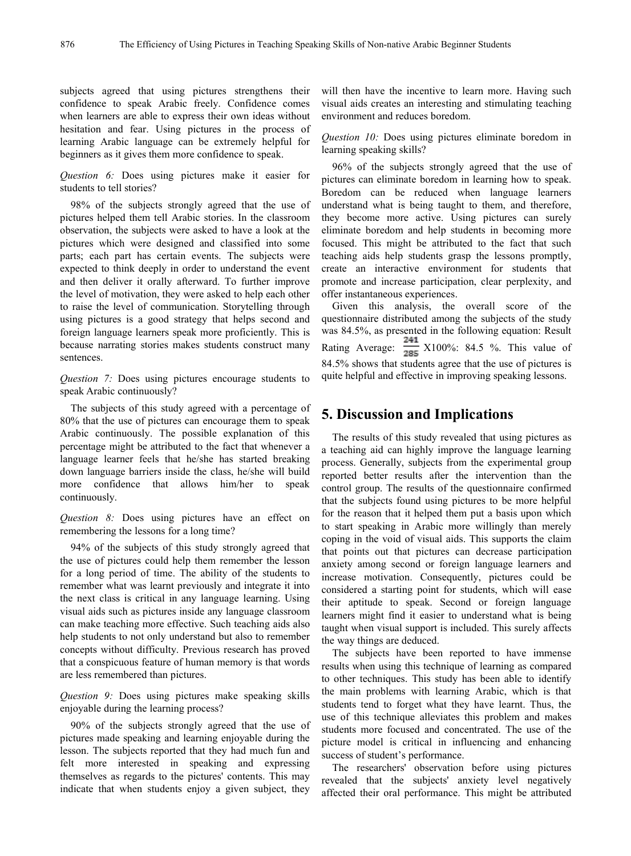subjects agreed that using pictures strengthens their confidence to speak Arabic freely. Confidence comes when learners are able to express their own ideas without hesitation and fear. Using pictures in the process of learning Arabic language can be extremely helpful for beginners as it gives them more confidence to speak.

*Question 6:* Does using pictures make it easier for students to tell stories?

98% of the subjects strongly agreed that the use of pictures helped them tell Arabic stories. In the classroom observation, the subjects were asked to have a look at the pictures which were designed and classified into some parts; each part has certain events. The subjects were expected to think deeply in order to understand the event and then deliver it orally afterward. To further improve the level of motivation, they were asked to help each other to raise the level of communication. Storytelling through using pictures is a good strategy that helps second and foreign language learners speak more proficiently. This is because narrating stories makes students construct many sentences.

*Question 7:* Does using pictures encourage students to speak Arabic continuously?

The subjects of this study agreed with a percentage of 80% that the use of pictures can encourage them to speak Arabic continuously. The possible explanation of this percentage might be attributed to the fact that whenever a language learner feels that he/she has started breaking down language barriers inside the class, he/she will build more confidence that allows him/her to speak continuously.

*Question 8:* Does using pictures have an effect on remembering the lessons for a long time?

94% of the subjects of this study strongly agreed that the use of pictures could help them remember the lesson for a long period of time. The ability of the students to remember what was learnt previously and integrate it into the next class is critical in any language learning. Using visual aids such as pictures inside any language classroom can make teaching more effective. Such teaching aids also help students to not only understand but also to remember concepts without difficulty. Previous research has proved that a conspicuous feature of human memory is that words are less remembered than pictures.

*Question 9:* Does using pictures make speaking skills enjoyable during the learning process?

90% of the subjects strongly agreed that the use of pictures made speaking and learning enjoyable during the lesson. The subjects reported that they had much fun and felt more interested in speaking and expressing themselves as regards to the pictures' contents. This may indicate that when students enjoy a given subject, they

will then have the incentive to learn more. Having such visual aids creates an interesting and stimulating teaching environment and reduces boredom.

*Question 10:* Does using pictures eliminate boredom in learning speaking skills?

96% of the subjects strongly agreed that the use of pictures can eliminate boredom in learning how to speak. Boredom can be reduced when language learners understand what is being taught to them, and therefore, they become more active. Using pictures can surely eliminate boredom and help students in becoming more focused. This might be attributed to the fact that such teaching aids help students grasp the lessons promptly, create an interactive environment for students that promote and increase participation, clear perplexity, and offer instantaneous experiences.

Given this analysis, the overall score of the questionnaire distributed among the subjects of the study was 84.5%, as presented in the following equation: Result Rating Average:  $\frac{241}{285}$  X100%: 84.5 %. This value of 84.5% shows that students agree that the use of pictures is quite helpful and effective in improving speaking lessons.

#### **5. Discussion and Implications**

The results of this study revealed that using pictures as a teaching aid can highly improve the language learning process. Generally, subjects from the experimental group reported better results after the intervention than the control group. The results of the questionnaire confirmed that the subjects found using pictures to be more helpful for the reason that it helped them put a basis upon which to start speaking in Arabic more willingly than merely coping in the void of visual aids. This supports the claim that points out that pictures can decrease participation anxiety among second or foreign language learners and increase motivation. Consequently, pictures could be considered a starting point for students, which will ease their aptitude to speak. Second or foreign language learners might find it easier to understand what is being taught when visual support is included. This surely affects the way things are deduced.

The subjects have been reported to have immense results when using this technique of learning as compared to other techniques. This study has been able to identify the main problems with learning Arabic, which is that students tend to forget what they have learnt. Thus, the use of this technique alleviates this problem and makes students more focused and concentrated. The use of the picture model is critical in influencing and enhancing success of student's performance.

The researchers' observation before using pictures revealed that the subjects' anxiety level negatively affected their oral performance. This might be attributed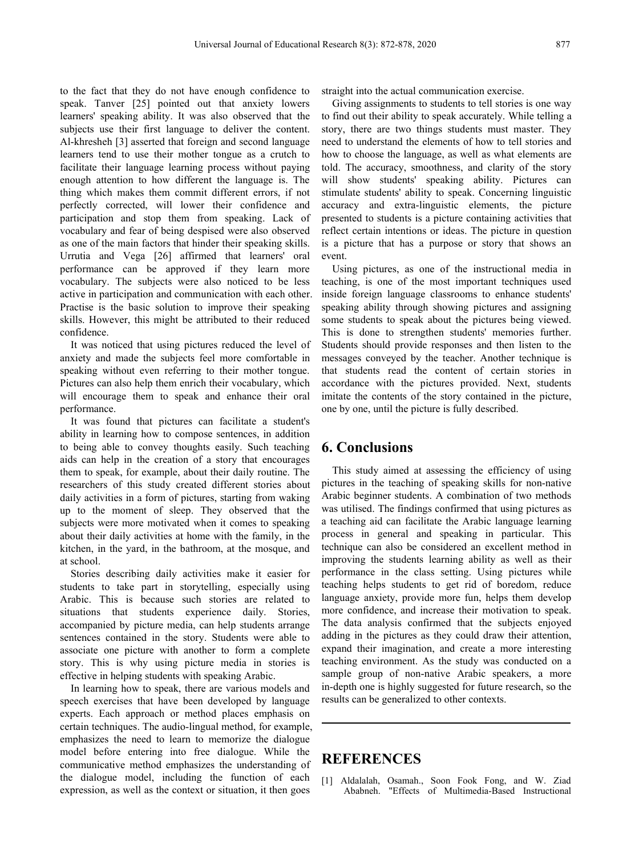to the fact that they do not have enough confidence to speak. Tanver [25] pointed out that anxiety lowers learners' speaking ability. It was also observed that the subjects use their first language to deliver the content. Al-khresheh [3] asserted that foreign and second language learners tend to use their mother tongue as a crutch to facilitate their language learning process without paying enough attention to how different the language is. The thing which makes them commit different errors, if not perfectly corrected, will lower their confidence and participation and stop them from speaking. Lack of vocabulary and fear of being despised were also observed as one of the main factors that hinder their speaking skills. Urrutia and Vega [26] affirmed that learners' oral performance can be approved if they learn more vocabulary. The subjects were also noticed to be less active in participation and communication with each other. Practise is the basic solution to improve their speaking skills. However, this might be attributed to their reduced confidence.

It was noticed that using pictures reduced the level of anxiety and made the subjects feel more comfortable in speaking without even referring to their mother tongue. Pictures can also help them enrich their vocabulary, which will encourage them to speak and enhance their oral performance.

It was found that pictures can facilitate a student's ability in learning how to compose sentences, in addition to being able to convey thoughts easily. Such teaching aids can help in the creation of a story that encourages them to speak, for example, about their daily routine. The researchers of this study created different stories about daily activities in a form of pictures, starting from waking up to the moment of sleep. They observed that the subjects were more motivated when it comes to speaking about their daily activities at home with the family, in the kitchen, in the yard, in the bathroom, at the mosque, and at school.

Stories describing daily activities make it easier for students to take part in storytelling, especially using Arabic. This is because such stories are related to situations that students experience daily. Stories, accompanied by picture media, can help students arrange sentences contained in the story. Students were able to associate one picture with another to form a complete story. This is why using picture media in stories is effective in helping students with speaking Arabic.

In learning how to speak, there are various models and speech exercises that have been developed by language experts. Each approach or method places emphasis on certain techniques. The audio-lingual method, for example, emphasizes the need to learn to memorize the dialogue model before entering into free dialogue. While the communicative method emphasizes the understanding of the dialogue model, including the function of each expression, as well as the context or situation, it then goes

straight into the actual communication exercise.

Giving assignments to students to tell stories is one way to find out their ability to speak accurately. While telling a story, there are two things students must master. They need to understand the elements of how to tell stories and how to choose the language, as well as what elements are told. The accuracy, smoothness, and clarity of the story will show students' speaking ability. Pictures can stimulate students' ability to speak. Concerning linguistic accuracy and extra-linguistic elements, the picture presented to students is a picture containing activities that reflect certain intentions or ideas. The picture in question is a picture that has a purpose or story that shows an event.

Using pictures, as one of the instructional media in teaching, is one of the most important techniques used inside foreign language classrooms to enhance students' speaking ability through showing pictures and assigning some students to speak about the pictures being viewed. This is done to strengthen students' memories further. Students should provide responses and then listen to the messages conveyed by the teacher.Another technique is that students read the content of certain stories in accordance with the pictures provided. Next, students imitate the contents of the story contained in the picture, one by one, until the picture is fully described.

#### **6. Conclusions**

This study aimed at assessing the efficiency of using pictures in the teaching of speaking skills for non-native Arabic beginner students. A combination of two methods was utilised. The findings confirmed that using pictures as a teaching aid can facilitate the Arabic language learning process in general and speaking in particular. This technique can also be considered an excellent method in improving the students learning ability as well as their performance in the class setting. Using pictures while teaching helps students to get rid of boredom, reduce language anxiety, provide more fun, helps them develop more confidence, and increase their motivation to speak. The data analysis confirmed that the subjects enjoyed adding in the pictures as they could draw their attention, expand their imagination, and create a more interesting teaching environment. As the study was conducted on a sample group of non-native Arabic speakers, a more in-depth one is highly suggested for future research, so the results can be generalized to other contexts.

#### **REFERENCES**

[1] Aldalalah, Osamah., Soon Fook Fong, and W. Ziad Ababneh. "Effects of Multimedia-Based Instructional